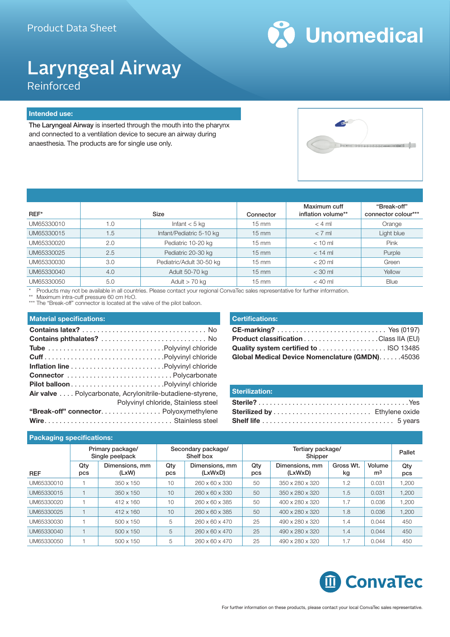

## Laryngeal Airway Reinforced

#### **Intended use:**

The Laryngeal Airway is inserted through the mouth into the pharynx and connected to a ventilation device to secure an airway during anaesthesia. The products are for single use only.



| REF*       |     | Size                     | Connector         | Maximum cuff<br>inflation volume** | "Break-off"<br>connector colour*** |
|------------|-----|--------------------------|-------------------|------------------------------------|------------------------------------|
| UM65330010 | 0.1 | Infant $<$ 5 kg          | $15 \text{ mm}$   | $< 4$ ml                           | Orange                             |
| UM65330015 | 1.5 | Infant/Pediatric 5-10 kg | $15 \, \text{mm}$ | $< 7$ ml                           | Light blue                         |
| UM65330020 | 2.0 | Pediatric 10-20 kg       | $15 \text{ mm}$   | $< 10$ ml                          | Pink                               |
| UM65330025 | 2.5 | Pediatric 20-30 kg       | $15 \, \text{mm}$ | $<$ 14 ml                          | Purple                             |
| UM65330030 | 3.0 | Pediatric/Adult 30-50 kg | $15 \, \text{mm}$ | $< 20$ ml                          | Green                              |
| UM65330040 | 4.0 | Adult 50-70 kg           | $15 \, \text{mm}$ | $<$ 30 ml                          | Yellow                             |
| UM65330050 | 5.0 | Adult $>$ 70 kg          | $15 \text{ mm}$   | $<$ 40 ml                          | <b>Blue</b>                        |

\* Products may not be available in all countries. Please contact your regional ConvaTec sales representative for further information.

Maximum intra-cuff pressure 60 cm H2O.

\*\*\* The "Break-off" connector is located at the valve of the pilot balloon.

#### **Material specifications:**

| Air valve Polycarbonate, Acrylonitrile-butadiene-styrene, |                                     |
|-----------------------------------------------------------|-------------------------------------|
|                                                           | Polyvinyl chloride, Stainless steel |
| "Break-off" connector. Polyoxymethylene                   |                                     |
|                                                           |                                     |

#### **Certifications:**

| Global Medical Device Nomenclature (GMDN). 45036 |  |
|--------------------------------------------------|--|

#### **Sterilization:**

| <b>Packaging specifications:</b> |            |                                     |            |                                 |            |                              |                 |                          |            |
|----------------------------------|------------|-------------------------------------|------------|---------------------------------|------------|------------------------------|-----------------|--------------------------|------------|
|                                  |            | Primary package/<br>Single peelpack |            | Secondary package/<br>Shelf box |            | Tertiary package/<br>Shipper |                 |                          | Pallet     |
| <b>REF</b>                       | Qty<br>pcs | Dimensions, mm<br>(LxW)             | Qty<br>pcs | Dimensions, mm<br>(LxWxD)       | Qty<br>pcs | Dimensions, mm<br>(LxWxD)    | Gross Wt.<br>kg | Volume<br>m <sup>3</sup> | Qty<br>pcs |
| UM65330010                       |            | 350 x 150                           | 10         | 260 x 60 x 330                  | 50         | 350 x 280 x 320              | 1.2             | 0.031                    | 1,200      |
| UM65330015                       |            | 350 x 150                           | 10         | $260 \times 60 \times 330$      | 50         | 350 x 280 x 320              | 1.5             | 0.031                    | 1,200      |
| UM65330020                       |            | 412 x 160                           | 10         | 260 x 60 x 385                  | 50         | 400 x 280 x 320              | 1.7             | 0.036                    | 1.200      |
| UM65330025                       |            | $412 \times 160$                    | 10         | 260 x 60 x 385                  | 50         | 400 x 280 x 320              | 1.8             | 0.036                    | 1,200      |
| UM65330030                       |            | $500 \times 150$                    | 5          | 260 x 60 x 470                  | 25         | 490 x 280 x 320              | 1.4             | 0.044                    | 450        |
| UM65330040                       |            | 500 x 150                           | 5          | $260 \times 60 \times 470$      | 25         | 490 x 280 x 320              | 1.4             | 0.044                    | 450        |
| UM65330050                       |            | 500 x 150                           | 5          | 260 x 60 x 470                  | 25         | 490 x 280 x 320              | 1.7             | 0.044                    | 450        |